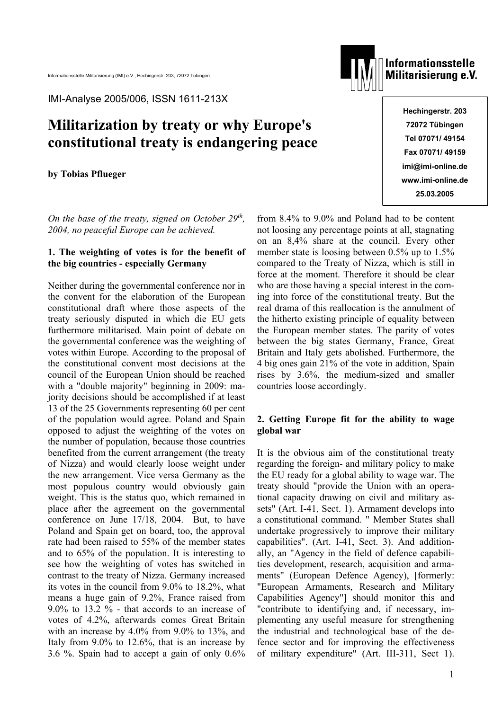IMI-Analyse 2005/006, ISSN 1611-213X

# **Militarization by treaty or why Europe's constitutional treaty is endangering peace**

**by Tobias Pflueger** 

*On the base of the treaty, signed on October 29<sup>th</sup>, 2004, no peaceful Europe can be achieved.*

# **1. The weighting of votes is for the benefit of the big countries - especially Germany**

Neither during the governmental conference nor in the convent for the elaboration of the European constitutional draft where those aspects of the treaty seriously disputed in which die EU gets furthermore militarised. Main point of debate on the governmental conference was the weighting of votes within Europe. According to the proposal of the constitutional convent most decisions at the council of the European Union should be reached with a "double majority" beginning in 2009: majority decisions should be accomplished if at least 13 of the 25 Governments representing 60 per cent of the population would agree. Poland and Spain opposed to adjust the weighting of the votes on the number of population, because those countries benefited from the current arrangement (the treaty of Nizza) and would clearly loose weight under the new arrangement. Vice versa Germany as the most populous country would obviously gain weight. This is the status quo, which remained in place after the agreement on the governmental conference on June 17/18, 2004. But, to have Poland and Spain get on board, too, the approval rate had been raised to 55% of the member states and to 65% of the population. It is interesting to see how the weighting of votes has switched in contrast to the treaty of Nizza. Germany increased its votes in the council from 9.0% to 18.2%, what means a huge gain of 9.2%, France raised from 9.0% to 13.2 % - that accords to an increase of votes of 4.2%, afterwards comes Great Britain with an increase by 4.0% from 9.0% to 13%, and Italy from 9.0% to 12.6%, that is an increase by 3.6 %. Spain had to accept a gain of only 0.6%



**Informationsstelle** Militarisierung e.V.

> **Hechingerstr. 203 72072 Tübingen Tel 07071/ 49154 Fax 07071/ 49159 imi@imi-online.de www.imi-online.de 25.03.2005**

from 8.4% to 9.0% and Poland had to be content not loosing any percentage points at all, stagnating on an 8,4% share at the council. Every other member state is loosing between 0.5% up to 1.5% compared to the Treaty of Nizza, which is still in force at the moment. Therefore it should be clear who are those having a special interest in the coming into force of the constitutional treaty. But the real drama of this reallocation is the annulment of the hitherto existing principle of equality between the European member states. The parity of votes between the big states Germany, France, Great Britain and Italy gets abolished. Furthermore, the 4 big ones gain 21% of the vote in addition, Spain rises by 3.6%, the medium-sized and smaller countries loose accordingly.

# **2. Getting Europe fit for the ability to wage global war**

It is the obvious aim of the constitutional treaty regarding the foreign- and military policy to make the EU ready for a global ability to wage war. The treaty should "provide the Union with an operational capacity drawing on civil and military assets" (Art. I-41, Sect. 1). Armament develops into a constitutional command. " Member States shall undertake progressively to improve their military capabilities". (Art. I-41, Sect. 3). And additionally, an "Agency in the field of defence capabilities development, research, acquisition and armaments" (European Defence Agency), [formerly: "European Armaments, Research and Military Capabilities Agency"] should monitor this and "contribute to identifying and, if necessary, implementing any useful measure for strengthening the industrial and technological base of the defence sector and for improving the effectiveness of military expenditure" (Art. III-311, Sect 1).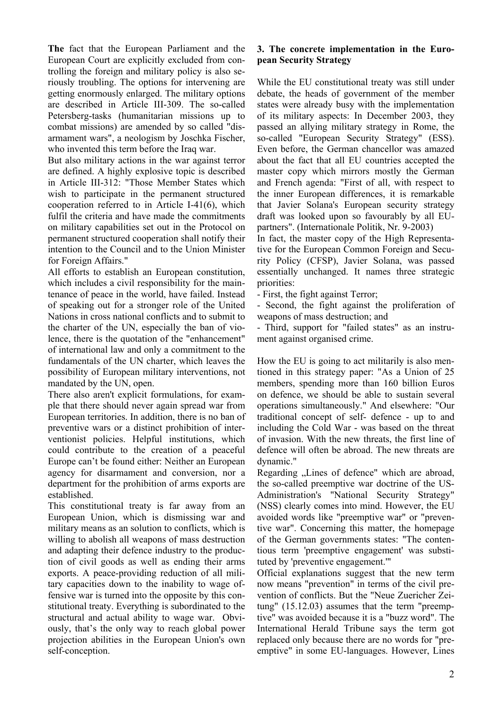**The** fact that the European Parliament and the European Court are explicitly excluded from controlling the foreign and military policy is also seriously troubling. The options for intervening are getting enormously enlarged. The military options are described in Article III-309. The so-called Petersberg-tasks (humanitarian missions up to combat missions) are amended by so called "disarmament wars", a neologism by Joschka Fischer, who invented this term before the Iraq war.

But also military actions in the war against terror are defined. A highly explosive topic is described in Article III-312: "Those Member States which wish to participate in the permanent structured cooperation referred to in Article I-41(6), which fulfil the criteria and have made the commitments on military capabilities set out in the Protocol on permanent structured cooperation shall notify their intention to the Council and to the Union Minister for Foreign Affairs."

All efforts to establish an European constitution, which includes a civil responsibility for the maintenance of peace in the world, have failed. Instead of speaking out for a stronger role of the United Nations in cross national conflicts and to submit to the charter of the UN, especially the ban of violence, there is the quotation of the "enhancement" of international law and only a commitment to the fundamentals of the UN charter, which leaves the possibility of European military interventions, not mandated by the UN, open.

There also aren't explicit formulations, for example that there should never again spread war from European territories. In addition, there is no ban of preventive wars or a distinct prohibition of interventionist policies. Helpful institutions, which could contribute to the creation of a peaceful Europe can't be found either: Neither an European agency for disarmament and conversion, nor a department for the prohibition of arms exports are established.

This constitutional treaty is far away from an European Union, which is dismissing war and military means as an solution to conflicts, which is willing to abolish all weapons of mass destruction and adapting their defence industry to the production of civil goods as well as ending their arms exports. A peace-providing reduction of all military capacities down to the inability to wage offensive war is turned into the opposite by this constitutional treaty. Everything is subordinated to the structural and actual ability to wage war. Obviously, that's the only way to reach global power projection abilities in the European Union's own self-conception.

### **3. The concrete implementation in the European Security Strategy**

While the EU constitutional treaty was still under debate, the heads of government of the member states were already busy with the implementation of its military aspects: In December 2003, they passed an allying military strategy in Rome, the so-called "European Security Strategy" (ESS). Even before, the German chancellor was amazed about the fact that all EU countries accepted the master copy which mirrors mostly the German and French agenda: "First of all, with respect to the inner European differences, it is remarkable that Javier Solana's European security strategy draft was looked upon so favourably by all EUpartners". (Internationale Politik, Nr. 9-2003)

In fact, the master copy of the High Representative for the European Common Foreign and Security Policy (CFSP), Javier Solana, was passed essentially unchanged. It names three strategic priorities:

- First, the fight against Terror;

- Second, the fight against the proliferation of weapons of mass destruction; and

- Third, support for "failed states" as an instrument against organised crime.

How the EU is going to act militarily is also mentioned in this strategy paper: "As a Union of 25 members, spending more than 160 billion Euros on defence, we should be able to sustain several operations simultaneously." And elsewhere: "Our traditional concept of self- defence - up to and including the Cold War - was based on the threat of invasion. With the new threats, the first line of defence will often be abroad. The new threats are dynamic."

Regarding "Lines of defence" which are abroad, the so-called preemptive war doctrine of the US-Administration's "National Security Strategy" (NSS) clearly comes into mind. However, the EU avoided words like "preemptive war" or "preventive war". Concerning this matter, the homepage of the German governments states: "The contentious term 'preemptive engagement' was substituted by 'preventive engagement.'"

Official explanations suggest that the new term now means "prevention" in terms of the civil prevention of conflicts. But the "Neue Zuericher Zeitung" (15.12.03) assumes that the term "preemptive" was avoided because it is a "buzz word". The International Herald Tribune says the term got replaced only because there are no words for "preemptive" in some EU-languages. However, Lines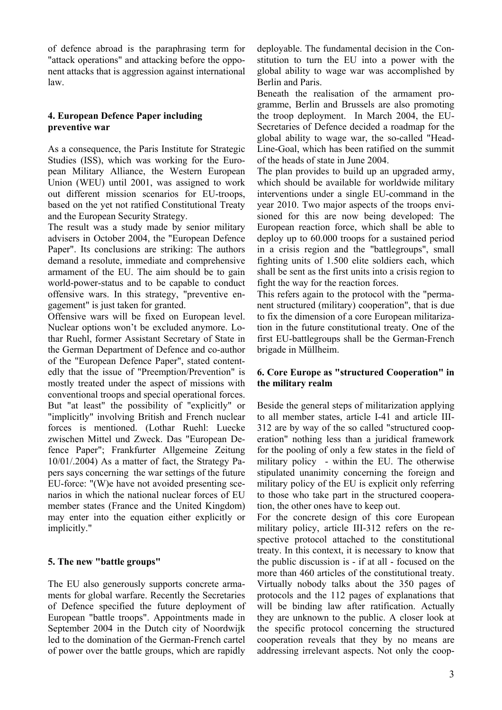of defence abroad is the paraphrasing term for "attack operations" and attacking before the opponent attacks that is aggression against international law.

## **4. European Defence Paper including preventive war**

As a consequence, the Paris Institute for Strategic Studies (ISS), which was working for the European Military Alliance, the Western European Union (WEU) until 2001, was assigned to work out different mission scenarios for EU-troops, based on the yet not ratified Constitutional Treaty and the European Security Strategy.

The result was a study made by senior military advisers in October 2004, the "European Defence Paper". Its conclusions are striking: The authors demand a resolute, immediate and comprehensive armament of the EU. The aim should be to gain world-power-status and to be capable to conduct offensive wars. In this strategy, "preventive engagement" is just taken for granted.

Offensive wars will be fixed on European level. Nuclear options won't be excluded anymore. Lothar Ruehl, former Assistant Secretary of State in the German Department of Defence and co-author of the "European Defence Paper", stated contentedly that the issue of "Preemption/Prevention" is mostly treated under the aspect of missions with conventional troops and special operational forces. But "at least" the possibility of "explicitly" or "implicitly" involving British and French nuclear forces is mentioned. (Lothar Ruehl: Luecke zwischen Mittel und Zweck. Das "European Defence Paper"; Frankfurter Allgemeine Zeitung 10/01/.2004) As a matter of fact, the Strategy Papers says concerning the war settings of the future EU-force: "(W)e have not avoided presenting scenarios in which the national nuclear forces of EU member states (France and the United Kingdom) may enter into the equation either explicitly or implicitly."

# **5. The new "battle groups"**

The EU also generously supports concrete armaments for global warfare. Recently the Secretaries of Defence specified the future deployment of European "battle troops". Appointments made in September 2004 in the Dutch city of Noordwijk led to the domination of the German-French cartel of power over the battle groups, which are rapidly

deployable. The fundamental decision in the Constitution to turn the EU into a power with the global ability to wage war was accomplished by Berlin and Paris.

Beneath the realisation of the armament programme, Berlin and Brussels are also promoting the troop deployment. In March 2004, the EU-Secretaries of Defence decided a roadmap for the global ability to wage war, the so-called "Head-Line-Goal, which has been ratified on the summit of the heads of state in June 2004.

The plan provides to build up an upgraded army, which should be available for worldwide military interventions under a single EU-command in the year 2010. Two major aspects of the troops envisioned for this are now being developed: The European reaction force, which shall be able to deploy up to 60.000 troops for a sustained period in a crisis region and the "battlegroups", small fighting units of 1.500 elite soldiers each, which shall be sent as the first units into a crisis region to fight the way for the reaction forces.

This refers again to the protocol with the "permanent structured (military) cooperation", that is due to fix the dimension of a core European militarization in the future constitutional treaty. One of the first EU-battlegroups shall be the German-French brigade in Müllheim.

#### **6. Core Europe as "structured Cooperation" in the military realm**

Beside the general steps of militarization applying to all member states, article I-41 and article III-312 are by way of the so called "structured cooperation" nothing less than a juridical framework for the pooling of only a few states in the field of military policy - within the EU. The otherwise stipulated unanimity concerning the foreign and military policy of the EU is explicit only referring to those who take part in the structured cooperation, the other ones have to keep out.

For the concrete design of this core European military policy, article III-312 refers on the respective protocol attached to the constitutional treaty. In this context, it is necessary to know that the public discussion is - if at all - focused on the more than 460 articles of the constitutional treaty. Virtually nobody talks about the 350 pages of protocols and the 112 pages of explanations that will be binding law after ratification. Actually they are unknown to the public. A closer look at the specific protocol concerning the structured cooperation reveals that they by no means are addressing irrelevant aspects. Not only the coop-